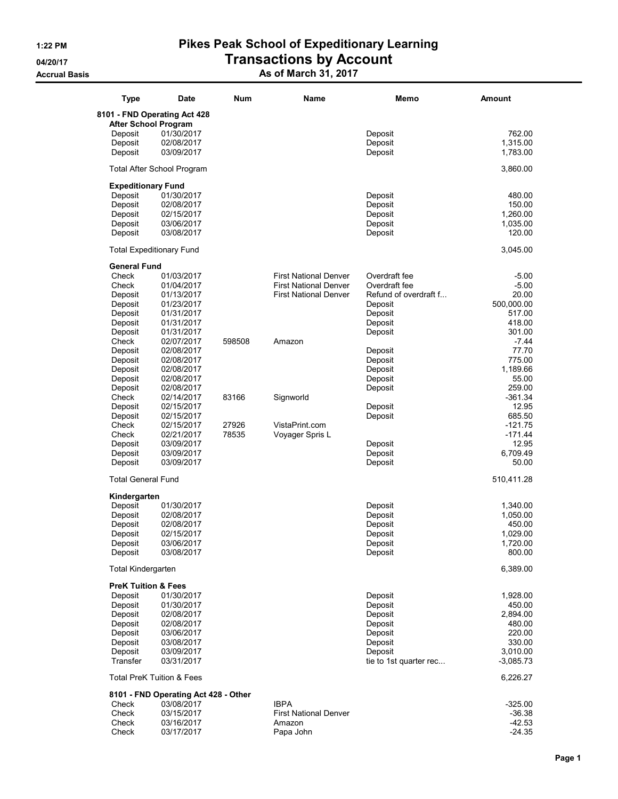## 1:22 PM Pikes Peak School of Expeditionary Learning 04/20/17 **Transactions by Account** Accrual Basis **As of March 31, 2017**

| <b>Type</b>                    | <b>Date</b>                          | <b>Num</b> | Name                         | Memo                   | Amount      |
|--------------------------------|--------------------------------------|------------|------------------------------|------------------------|-------------|
|                                | 8101 - FND Operating Act 428         |            |                              |                        |             |
| <b>After School Program</b>    |                                      |            |                              |                        |             |
| Deposit                        | 01/30/2017                           |            |                              | Deposit                | 762.00      |
| Deposit                        | 02/08/2017                           |            |                              | Deposit                | 1,315.00    |
| Deposit                        | 03/09/2017                           |            |                              | Deposit                | 1,783.00    |
|                                | <b>Total After School Program</b>    |            |                              |                        | 3,860.00    |
| <b>Expeditionary Fund</b>      |                                      |            |                              |                        |             |
| Deposit                        | 01/30/2017                           |            |                              | Deposit                | 480.00      |
| Deposit                        | 02/08/2017                           |            |                              | Deposit                | 150.00      |
| Deposit                        | 02/15/2017                           |            |                              | Deposit                | 1,260.00    |
| Deposit                        | 03/06/2017                           |            |                              | Deposit                | 1,035.00    |
| Deposit                        | 03/08/2017                           |            |                              | Deposit                | 120.00      |
|                                | <b>Total Expeditionary Fund</b>      |            |                              |                        | 3,045.00    |
| <b>General Fund</b>            |                                      |            |                              |                        |             |
| Check                          | 01/03/2017                           |            | <b>First National Denver</b> | Overdraft fee          | $-5.00$     |
| Check                          | 01/04/2017                           |            | <b>First National Denver</b> | Overdraft fee          | $-5.00$     |
| Deposit                        | 01/13/2017                           |            | <b>First National Denver</b> | Refund of overdraft f  | 20.00       |
| Deposit                        | 01/23/2017                           |            |                              | Deposit                | 500,000.00  |
| Deposit                        | 01/31/2017                           |            |                              | Deposit                | 517.00      |
| Deposit                        | 01/31/2017                           |            |                              | Deposit                | 418.00      |
| Deposit                        | 01/31/2017                           |            |                              | Deposit                | 301.00      |
| Check                          | 02/07/2017                           | 598508     | Amazon                       |                        | $-7.44$     |
| Deposit                        | 02/08/2017                           |            |                              | Deposit                | 77.70       |
| Deposit                        | 02/08/2017                           |            |                              | Deposit                | 775.00      |
| Deposit                        | 02/08/2017                           |            |                              | Deposit                | 1,189.66    |
| Deposit                        | 02/08/2017                           |            |                              | Deposit                | 55.00       |
| Deposit                        | 02/08/2017                           |            |                              | Deposit                | 259.00      |
| Check                          | 02/14/2017                           | 83166      | Signworld                    |                        | $-361.34$   |
| Deposit                        | 02/15/2017                           |            |                              | Deposit                | 12.95       |
| Deposit                        | 02/15/2017                           |            |                              | Deposit                | 685.50      |
| Check                          | 02/15/2017                           | 27926      | VistaPrint.com               |                        | $-121.75$   |
| Check                          | 02/21/2017                           | 78535      | Voyager Spris L              |                        | $-171.44$   |
| Deposit                        | 03/09/2017                           |            |                              | Deposit                | 12.95       |
| Deposit                        | 03/09/2017                           |            |                              | Deposit                | 6,709.49    |
| Deposit                        | 03/09/2017                           |            |                              | Deposit                | 50.00       |
| <b>Total General Fund</b>      |                                      |            |                              |                        | 510,411.28  |
| Kindergarten                   |                                      |            |                              |                        |             |
| Deposit                        | 01/30/2017                           |            |                              | Deposit                | 1,340.00    |
| Deposit                        | 02/08/2017                           |            |                              | Deposit                | 1,050.00    |
| Deposit                        | 02/08/2017                           |            |                              | Deposit                | 450.00      |
| Deposit                        | 02/15/2017                           |            |                              | Deposit                | 1,029.00    |
| Deposit                        | 03/06/2017                           |            |                              | Deposit                | 1,720.00    |
| Deposit                        | 03/08/2017                           |            |                              | Deposit                | 800.00      |
|                                |                                      |            |                              |                        |             |
| <b>Total Kindergarten</b>      |                                      |            |                              |                        | 6,389.00    |
| <b>PreK Tuition &amp; Fees</b> |                                      |            |                              |                        |             |
| Deposit                        | 01/30/2017                           |            |                              | Deposit                | 1,928.00    |
| Deposit                        | 01/30/2017                           |            |                              | Deposit                | 450.00      |
| Deposit                        | 02/08/2017                           |            |                              | Deposit                | 2,894.00    |
| Deposit                        | 02/08/2017                           |            |                              | Deposit                | 480.00      |
| Deposit                        | 03/06/2017                           |            |                              | Deposit                | 220.00      |
| Deposit                        | 03/08/2017                           |            |                              | Deposit                | 330.00      |
| Deposit                        | 03/09/2017                           |            |                              | Deposit                | 3,010.00    |
| Transfer                       | 03/31/2017                           |            |                              | tie to 1st quarter rec | $-3,085.73$ |
|                                | <b>Total PreK Tuition &amp; Fees</b> |            |                              |                        | 6,226.27    |
|                                | 8101 - FND Operating Act 428 - Other |            |                              |                        |             |
| Check                          | 03/08/2017                           |            | <b>IBPA</b>                  |                        | $-325.00$   |
| Check                          | 03/15/2017                           |            | <b>First National Denver</b> |                        | $-36.38$    |
| Check                          | 03/16/2017                           |            | Amazon                       |                        | $-42.53$    |
| Check                          | 03/17/2017                           |            | Papa John                    |                        | $-24.35$    |